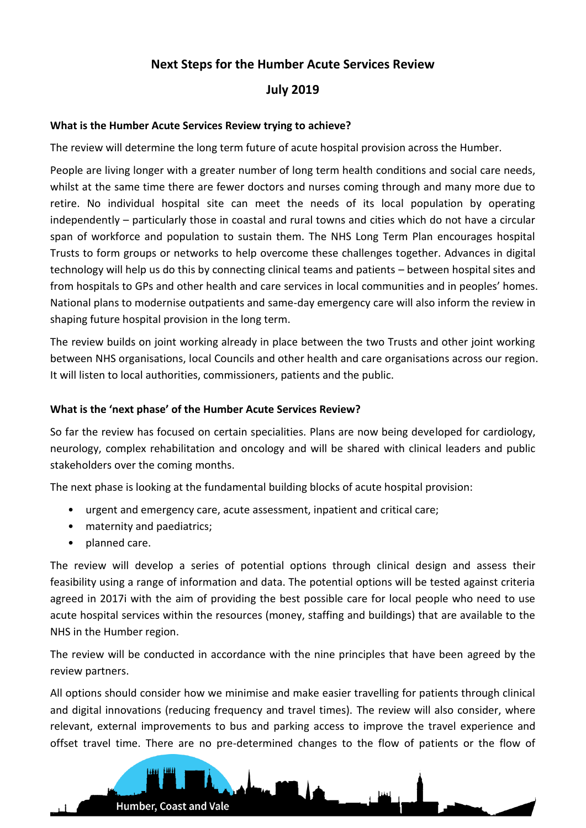# **Next Steps for the Humber Acute Services Review**

## **July 2019**

#### **What is the Humber Acute Services Review trying to achieve?**

The review will determine the long term future of acute hospital provision across the Humber.

People are living longer with a greater number of long term health conditions and social care needs, whilst at the same time there are fewer doctors and nurses coming through and many more due to retire. No individual hospital site can meet the needs of its local population by operating independently – particularly those in coastal and rural towns and cities which do not have a circular span of workforce and population to sustain them. The NHS Long Term Plan encourages hospital Trusts to form groups or networks to help overcome these challenges together. Advances in digital technology will help us do this by connecting clinical teams and patients – between hospital sites and from hospitals to GPs and other health and care services in local communities and in peoples' homes. National plans to modernise outpatients and same-day emergency care will also inform the review in shaping future hospital provision in the long term.

The review builds on joint working already in place between the two Trusts and other joint working between NHS organisations, local Councils and other health and care organisations across our region. It will listen to local authorities, commissioners, patients and the public.

#### **What is the 'next phase' of the Humber Acute Services Review?**

So far the review has focused on certain specialities. Plans are now being developed for cardiology, neurology, complex rehabilitation and oncology and will be shared with clinical leaders and public stakeholders over the coming months.

The next phase is looking at the fundamental building blocks of acute hospital provision:

- urgent and emergency care, acute assessment, inpatient and critical care;
- maternity and paediatrics:
- planned care.

The review will develop a series of potential options through clinical design and assess their feasibility using a range of information and data. The potential options will be tested against criteria agreed in 2017i with the aim of providing the best possible care for local people who need to use acute hospital services within the resources (money, staffing and buildings) that are available to the NHS in the Humber region.

The review will be conducted in accordance with the nine principles that have been agreed by the review partners.

All options should consider how we minimise and make easier travelling for patients through clinical and digital innovations (reducing frequency and travel times). The review will also consider, where relevant, external improvements to bus and parking access to improve the travel experience and offset travel time. There are no pre-determined changes to the flow of patients or the flow of